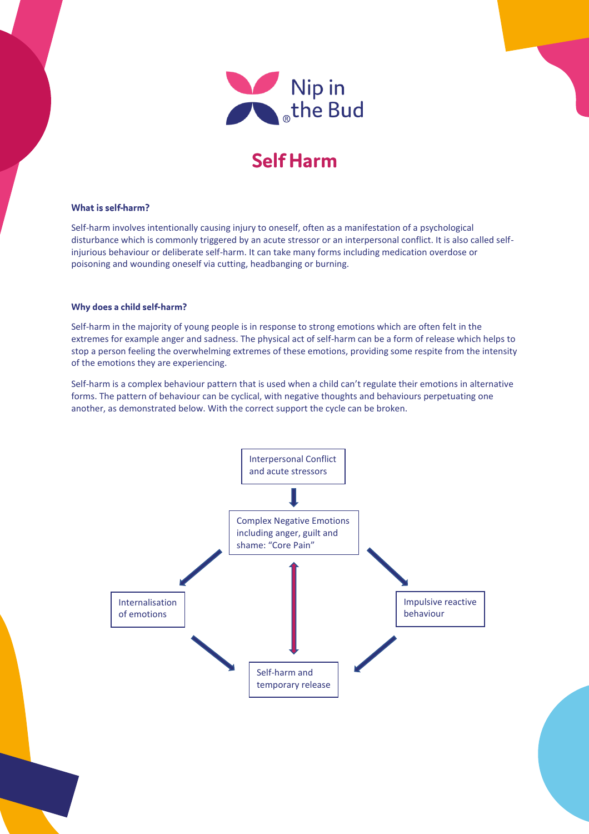

# **Self Harm**

## What is self-harm?

Self-harm involves intentionally causing injury to oneself, often as a manifestation of a psychological disturbance which is commonly triggered by an acute stressor or an interpersonal conflict. It is also called selfinjurious behaviour or deliberate self-harm. It can take many forms including medication overdose or poisoning and wounding oneself via cutting, headbanging or burning.

### Why does a child self-harm?

Self-harm in the majority of young people is in response to strong emotions which are often felt in the extremes for example anger and sadness. The physical act of self-harm can be a form of release which helps to stop a person feeling the overwhelming extremes of these emotions, providing some respite from the intensity of the emotions they are experiencing.

Self-harm is a complex behaviour pattern that is used when a child can't regulate their emotions in alternative forms. The pattern of behaviour can be cyclical, with negative thoughts and behaviours perpetuating one another, as demonstrated below. With the correct support the cycle can be broken.

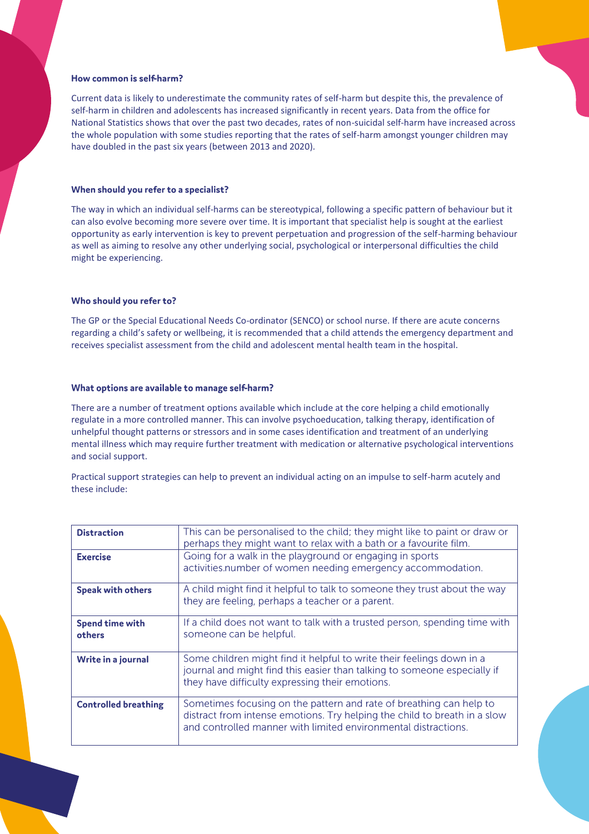## How common is self-harm?

Current data is likely to underestimate the community rates of self-harm but despite this, the prevalence of self-harm in children and adolescents has increased significantly in recent years. Data from the office for National Statistics shows that over the past two decades, rates of non-suicidal self-harm have increased across the whole population with some studies reporting that the rates of self-harm amongst younger children may have doubled in the past six years (between 2013 and 2020).

# When should you refer to a specialist?

The way in which an individual self-harms can be stereotypical, following a specific pattern of behaviour but it can also evolve becoming more severe over time. It is important that specialist help is sought at the earliest opportunity as early intervention is key to prevent perpetuation and progression of the self-harming behaviour as well as aiming to resolve any other underlying social, psychological or interpersonal difficulties the child might be experiencing.

## Who should you refer to?

The GP or the Special Educational Needs Co-ordinator (SENCO) or school nurse. If there are acute concerns regarding a child's safety or wellbeing, it is recommended that a child attends the emergency department and receives specialist assessment from the child and adolescent mental health team in the hospital.

### What options are available to manage self-harm?

There are a number of treatment options available which include at the core helping a child emotionally regulate in a more controlled manner. This can involve psychoeducation, talking therapy, identification of unhelpful thought patterns or stressors and in some cases identification and treatment of an underlying mental illness which may require further treatment with medication or alternative psychological interventions and social support.

Practical support strategies can help to prevent an individual acting on an impulse to self-harm acutely and these include:

| <b>Distraction</b>               | This can be personalised to the child; they might like to paint or draw or<br>perhaps they might want to relax with a bath or a favourite film.                                                                    |
|----------------------------------|--------------------------------------------------------------------------------------------------------------------------------------------------------------------------------------------------------------------|
| <b>Exercise</b>                  | Going for a walk in the playground or engaging in sports<br>activities.number of women needing emergency accommodation.                                                                                            |
| <b>Speak with others</b>         | A child might find it helpful to talk to someone they trust about the way<br>they are feeling, perhaps a teacher or a parent.                                                                                      |
| <b>Spend time with</b><br>others | If a child does not want to talk with a trusted person, spending time with<br>someone can be helpful.                                                                                                              |
| Write in a journal               | Some children might find it helpful to write their feelings down in a<br>journal and might find this easier than talking to someone especially if<br>they have difficulty expressing their emotions.               |
| <b>Controlled breathing</b>      | Sometimes focusing on the pattern and rate of breathing can help to<br>distract from intense emotions. Try helping the child to breath in a slow<br>and controlled manner with limited environmental distractions. |